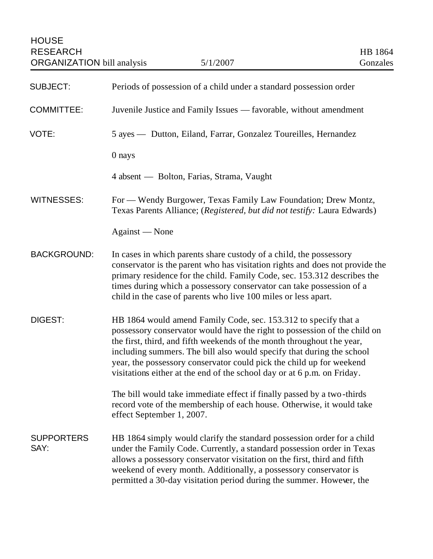| <b>SUBJECT:</b>           | Periods of possession of a child under a standard possession order                                                                                                                                                                                                                                                                                                                                                                                 |
|---------------------------|----------------------------------------------------------------------------------------------------------------------------------------------------------------------------------------------------------------------------------------------------------------------------------------------------------------------------------------------------------------------------------------------------------------------------------------------------|
| <b>COMMITTEE:</b>         | Juvenile Justice and Family Issues - favorable, without amendment                                                                                                                                                                                                                                                                                                                                                                                  |
| VOTE:                     | 5 ayes — Dutton, Eiland, Farrar, Gonzalez Toureilles, Hernandez                                                                                                                                                                                                                                                                                                                                                                                    |
|                           | 0 nays                                                                                                                                                                                                                                                                                                                                                                                                                                             |
|                           | 4 absent — Bolton, Farias, Strama, Vaught                                                                                                                                                                                                                                                                                                                                                                                                          |
| WITNESSES:                | For — Wendy Burgower, Texas Family Law Foundation; Drew Montz,<br>Texas Parents Alliance; (Registered, but did not testify: Laura Edwards)                                                                                                                                                                                                                                                                                                         |
|                           | Against — None                                                                                                                                                                                                                                                                                                                                                                                                                                     |
| <b>BACKGROUND:</b>        | In cases in which parents share custody of a child, the possessory<br>conservator is the parent who has visitation rights and does not provide the<br>primary residence for the child. Family Code, sec. 153.312 describes the<br>times during which a possessory conservator can take possession of a<br>child in the case of parents who live 100 miles or less apart.                                                                           |
| DIGEST:                   | HB 1864 would amend Family Code, sec. 153.312 to specify that a<br>possessory conservator would have the right to possession of the child on<br>the first, third, and fifth weekends of the month throughout the year,<br>including summers. The bill also would specify that during the school<br>year, the possessory conservator could pick the child up for weekend<br>visitations either at the end of the school day or at 6 p.m. on Friday. |
|                           | The bill would take immediate effect if finally passed by a two-thirds<br>record vote of the membership of each house. Otherwise, it would take<br>effect September 1, 2007.                                                                                                                                                                                                                                                                       |
| <b>SUPPORTERS</b><br>SAY: | HB 1864 simply would clarify the standard possession order for a child<br>under the Family Code. Currently, a standard possession order in Texas<br>allows a possessory conservator visitation on the first, third and fifth<br>weekend of every month. Additionally, a possessory conservator is<br>permitted a 30-day visitation period during the summer. However, the                                                                          |